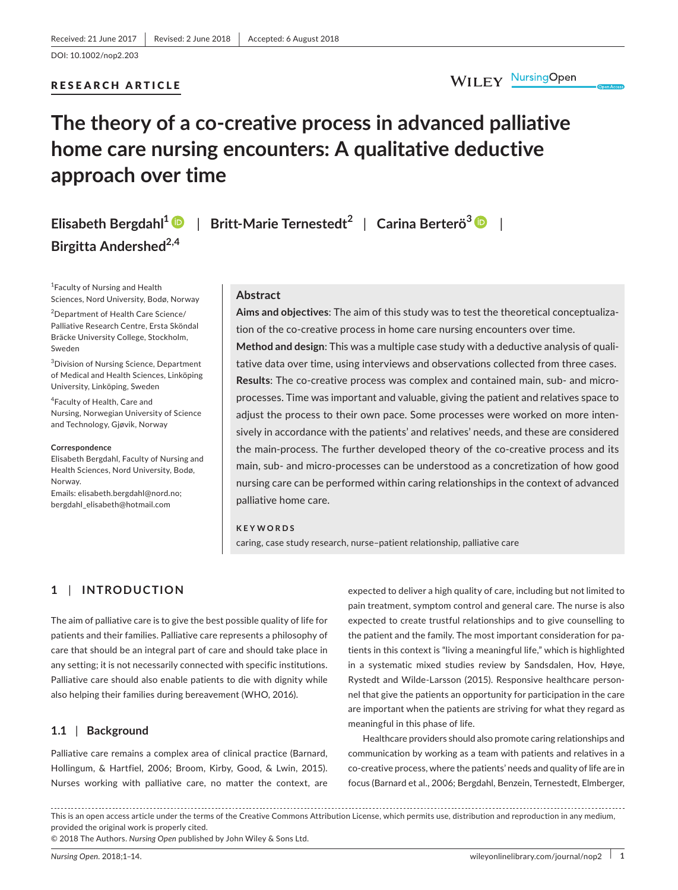### RESEARCH ARTICLE

# **The theory of a co‐creative process in advanced palliative home care nursing encounters: A qualitative deductive approach over time**

# **Elisabeth Bergdahl<sup>1</sup>** | **Britt‐Marie Ternestedt<sup>2</sup>** | **Carina Berterö<sup>3</sup>** | **Birgitta Andershed2,4**

1 Faculty of Nursing and Health Sciences, Nord University, Bodø, Norway

2 Department of Health Care Science/ Palliative Research Centre, Ersta Sköndal Bräcke University College, Stockholm, Sweden

3 Division of Nursing Science, Department of Medical and Health Sciences, Linköping University, Linköping, Sweden

4 Faculty of Health, Care and Nursing, Norwegian University of Science and Technology, Gjøvik, Norway

#### **Correspondence**

Elisabeth Bergdahl, Faculty of Nursing and Health Sciences, Nord University, Bodø, Norway. Emails: [elisabeth.bergdahl@nord.no;](mailto:elisabeth.bergdahl@nord.no)

[bergdahl\\_elisabeth@hotmail.com](mailto:bergdahl_elisabeth@hotmail.com)

#### **Abstract**

**Aims and objectives**: The aim of this study was to test the theoretical conceptualiza‐ tion of the co-creative process in home care nursing encounters over time.

**Method and design**: This was a multiple case study with a deductive analysis of quali‐ tative data over time, using interviews and observations collected from three cases. Results: The co-creative process was complex and contained main, sub- and microprocesses. Time was important and valuable, giving the patient and relatives space to adjust the process to their own pace. Some processes were worked on more inten‐ sively in accordance with the patients' and relatives' needs, and these are considered the main-process. The further developed theory of the co-creative process and its main, sub‐ and micro‐processes can be understood as a concretization of how good nursing care can be performed within caring relationships in the context of advanced palliative home care.

#### **KEYWORDS**

caring, case study research, nurse–patient relationship, palliative care

### **1** | **INTRODUCTION**

The aim of palliative care is to give the best possible quality of life for patients and their families. Palliative care represents a philosophy of care that should be an integral part of care and should take place in any setting; it is not necessarily connected with specific institutions. Palliative care should also enable patients to die with dignity while also helping their families during bereavement (WHO, 2016).

### **1.1** | **Background**

Palliative care remains a complex area of clinical practice (Barnard, Hollingum, & Hartfiel, 2006; Broom, Kirby, Good, & Lwin, 2015). Nurses working with palliative care, no matter the context, are

expected to deliver a high quality of care, including but not limited to pain treatment, symptom control and general care. The nurse is also expected to create trustful relationships and to give counselling to the patient and the family. The most important consideration for pa‐ tients in this context is "living a meaningful life," which is highlighted in a systematic mixed studies review by Sandsdalen, Hov, Høye, Rystedt and Wilde‐Larsson (2015). Responsive healthcare person‐ nel that give the patients an opportunity for participation in the care are important when the patients are striving for what they regard as meaningful in this phase of life.

Healthcare providers should also promote caring relationships and communication by working as a team with patients and relatives in a co‐creative process, where the patients' needs and quality of life are in focus (Barnard et al., 2006; Bergdahl, Benzein, Ternestedt, Elmberger,

This is an open access article under the terms of the Creative Commons [Attribution](http://creativecommons.org/licenses/by/4.0/) License, which permits use, distribution and reproduction in any medium, provided the original work is properly cited.

© 2018 The Authors. *Nursing Open* published by John Wiley & Sons Ltd.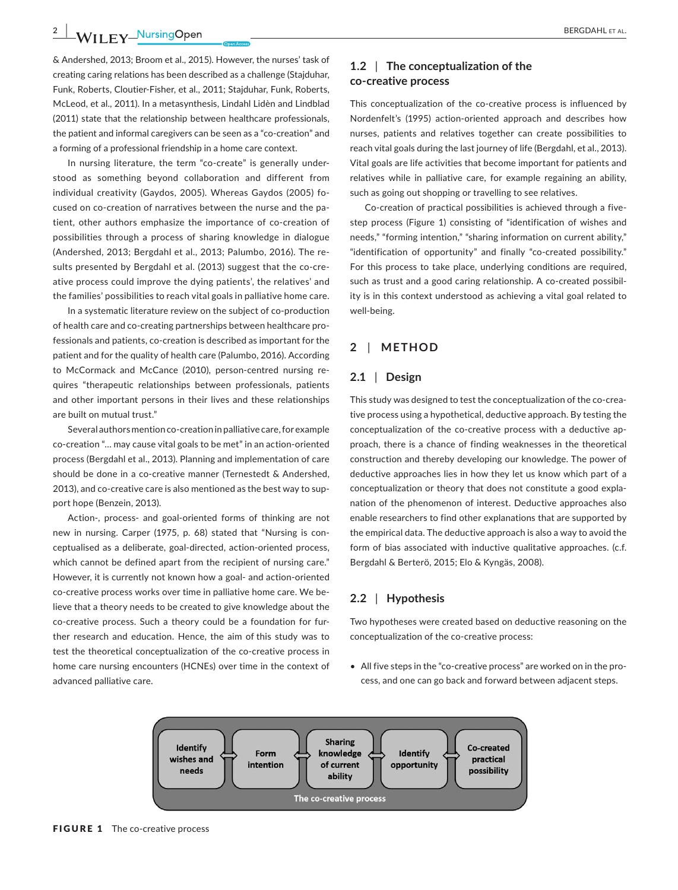## **2 |**  BERGDAHL et al.

& Andershed, 2013; Broom et al., 2015). However, the nurses' task of creating caring relations has been described as a challenge (Stajduhar, Funk, Roberts, Cloutier‐Fisher, et al., 2011; Stajduhar, Funk, Roberts, McLeod, et al., 2011). In a metasynthesis, Lindahl Lidèn and Lindblad (2011) state that the relationship between healthcare professionals, the patient and informal caregivers can be seen as a "co‐creation" and a forming of a professional friendship in a home care context.

In nursing literature, the term "co-create" is generally understood as something beyond collaboration and different from individual creativity (Gaydos, 2005). Whereas Gaydos (2005) fo‐ cused on co‐creation of narratives between the nurse and the pa‐ tient, other authors emphasize the importance of co-creation of possibilities through a process of sharing knowledge in dialogue (Andershed, 2013; Bergdahl et al., 2013; Palumbo, 2016). The re‐ sults presented by Bergdahl et al. (2013) suggest that the co-creative process could improve the dying patients', the relatives' and the families' possibilities to reach vital goals in palliative home care.

In a systematic literature review on the subject of co‐production of health care and co‐creating partnerships between healthcare pro‐ fessionals and patients, co-creation is described as important for the patient and for the quality of health care (Palumbo, 2016). According to McCormack and McCance (2010), person-centred nursing requires "therapeutic relationships between professionals, patients and other important persons in their lives and these relationships are built on mutual trust."

Several authors mention co‐creation in palliative care, for example co‐creation "… may cause vital goals to be met" in an action‐oriented process (Bergdahl et al., 2013). Planning and implementation of care should be done in a co-creative manner (Ternestedt & Andershed, 2013), and co-creative care is also mentioned as the best way to support hope (Benzein, 2013).

Action-, process- and goal-oriented forms of thinking are not new in nursing. Carper (1975, p. 68) stated that "Nursing is con‐ ceptualised as a deliberate, goal‐directed, action‐oriented process, which cannot be defined apart from the recipient of nursing care." However, it is currently not known how a goal- and action-oriented co-creative process works over time in palliative home care. We believe that a theory needs to be created to give knowledge about the co-creative process. Such a theory could be a foundation for further research and education. Hence, the aim of this study was to test the theoretical conceptualization of the co-creative process in home care nursing encounters (HCNEs) over time in the context of advanced palliative care.

### **1.2** | **The conceptualization of the co‐creative process**

This conceptualization of the co-creative process is influenced by Nordenfelt's (1995) action‐oriented approach and describes how nurses, patients and relatives together can create possibilities to reach vital goals during the last journey of life (Bergdahl, et al., 2013). Vital goals are life activities that become important for patients and relatives while in palliative care, for example regaining an ability, such as going out shopping or travelling to see relatives.

Co-creation of practical possibilities is achieved through a fivestep process (Figure 1) consisting of "identification of wishes and needs," "forming intention," "sharing information on current ability," "identification of opportunity" and finally "co-created possibility." For this process to take place, underlying conditions are required, such as trust and a good caring relationship. A co-created possibility is in this context understood as achieving a vital goal related to well-being.

### **2** | **METHOD**

### **2.1** | **Design**

This study was designed to test the conceptualization of the co-creative process using a hypothetical, deductive approach. By testing the conceptualization of the co-creative process with a deductive approach, there is a chance of finding weaknesses in the theoretical construction and thereby developing our knowledge. The power of deductive approaches lies in how they let us know which part of a conceptualization or theory that does not constitute a good expla‐ nation of the phenomenon of interest. Deductive approaches also enable researchers to find other explanations that are supported by the empirical data. The deductive approach is also a way to avoid the form of bias associated with inductive qualitative approaches. (c.f. Bergdahl & Berterö, 2015; Elo & Kyngäs, 2008).

### **2.2** | **Hypothesis**

Two hypotheses were created based on deductive reasoning on the conceptualization of the co-creative process:

• All five steps in the "co-creative process" are worked on in the process, and one can go back and forward between adjacent steps.

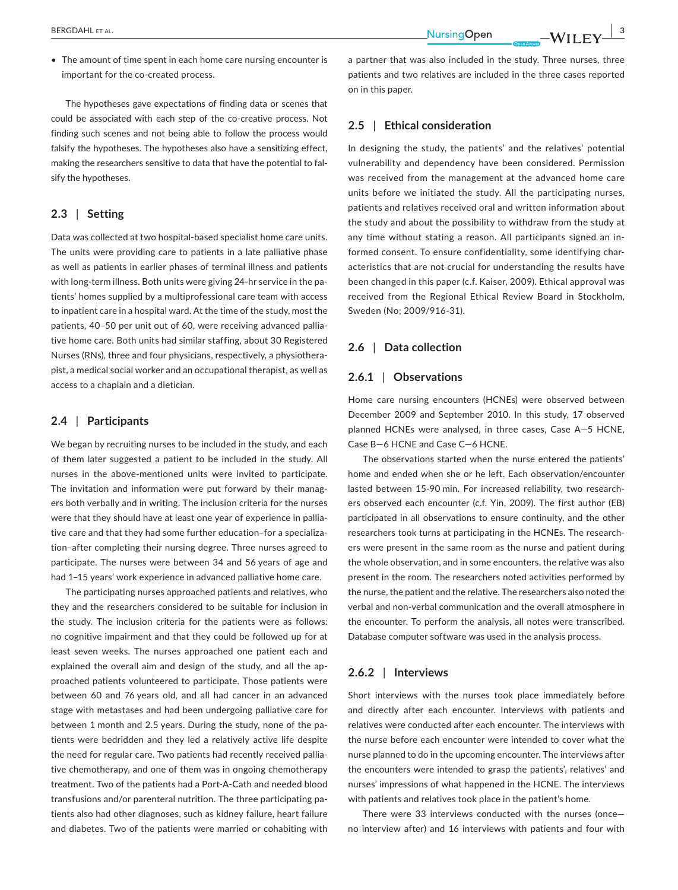**BERGDAHLET AL. 3 ALLET AL. 3 ALLET ALLET ALLET ALL <b>EX** 

• The amount of time spent in each home care nursing encounter is important for the co-created process.

The hypotheses gave expectations of finding data or scenes that could be associated with each step of the co-creative process. Not finding such scenes and not being able to follow the process would falsify the hypotheses. The hypotheses also have a sensitizing effect, making the researchers sensitive to data that have the potential to fal‐ sify the hypotheses.

### **2.3** | **Setting**

Data was collected at two hospital‐based specialist home care units. The units were providing care to patients in a late palliative phase as well as patients in earlier phases of terminal illness and patients with long-term illness. Both units were giving 24-hr service in the patients' homes supplied by a multiprofessional care team with access to inpatient care in a hospital ward. At the time of the study, most the patients, 40-50 per unit out of 60, were receiving advanced palliative home care. Both units had similar staffing, about 30 Registered Nurses (RNs), three and four physicians, respectively, a physiothera‐ pist, a medical social worker and an occupational therapist, as well as access to a chaplain and a dietician.

### **2.4** | **Participants**

We began by recruiting nurses to be included in the study, and each of them later suggested a patient to be included in the study. All nurses in the above‐mentioned units were invited to participate. The invitation and information were put forward by their managers both verbally and in writing. The inclusion criteria for the nurses were that they should have at least one year of experience in palliative care and that they had some further education–for a specializa‐ tion–after completing their nursing degree. Three nurses agreed to participate. The nurses were between 34 and 56 years of age and had 1–15 years' work experience in advanced palliative home care.

The participating nurses approached patients and relatives, who they and the researchers considered to be suitable for inclusion in the study. The inclusion criteria for the patients were as follows: no cognitive impairment and that they could be followed up for at least seven weeks. The nurses approached one patient each and explained the overall aim and design of the study, and all the approached patients volunteered to participate. Those patients were between 60 and 76 years old, and all had cancer in an advanced stage with metastases and had been undergoing palliative care for between 1 month and 2.5 years. During the study, none of the patients were bedridden and they led a relatively active life despite the need for regular care. Two patients had recently received pallia‐ tive chemotherapy, and one of them was in ongoing chemotherapy treatment. Two of the patients had a Port‐A‐Cath and needed blood transfusions and/or parenteral nutrition. The three participating pa‐ tients also had other diagnoses, such as kidney failure, heart failure and diabetes. Two of the patients were married or cohabiting with

a partner that was also included in the study. Three nurses, three patients and two relatives are included in the three cases reported on in this paper.

### **2.5** | **Ethical consideration**

In designing the study, the patients' and the relatives' potential vulnerability and dependency have been considered. Permission was received from the management at the advanced home care units before we initiated the study. All the participating nurses, patients and relatives received oral and written information about the study and about the possibility to withdraw from the study at any time without stating a reason. All participants signed an in‐ formed consent. To ensure confidentiality, some identifying char‐ acteristics that are not crucial for understanding the results have been changed in this paper (c.f. Kaiser, 2009). Ethical approval was received from the Regional Ethical Review Board in Stockholm, Sweden (No; 2009/916‐31).

### **2.6** | **Data collection**

### **2.6.1** | **Observations**

Home care nursing encounters (HCNEs) were observed between December 2009 and September 2010. In this study, 17 observed planned HCNEs were analysed, in three cases, Case A—5 HCNE, Case B—6 HCNE and Case C—6 HCNE.

The observations started when the nurse entered the patients' home and ended when she or he left. Each observation/encounter lasted between 15‐90 min. For increased reliability, two research‐ ers observed each encounter (c.f. Yin, 2009). The first author (EB) participated in all observations to ensure continuity, and the other researchers took turns at participating in the HCNEs. The research‐ ers were present in the same room as the nurse and patient during the whole observation, and in some encounters, the relative was also present in the room. The researchers noted activities performed by the nurse, the patient and the relative. The researchers also noted the verbal and non‐verbal communication and the overall atmosphere in the encounter. To perform the analysis, all notes were transcribed. Database computer software was used in the analysis process.

#### **2.6.2** | **Interviews**

Short interviews with the nurses took place immediately before and directly after each encounter. Interviews with patients and relatives were conducted after each encounter. The interviews with the nurse before each encounter were intended to cover what the nurse planned to do in the upcoming encounter. The interviews after the encounters were intended to grasp the patients', relatives' and nurses' impressions of what happened in the HCNE. The interviews with patients and relatives took place in the patient's home.

There were 33 interviews conducted with the nurses (once no interview after) and 16 interviews with patients and four with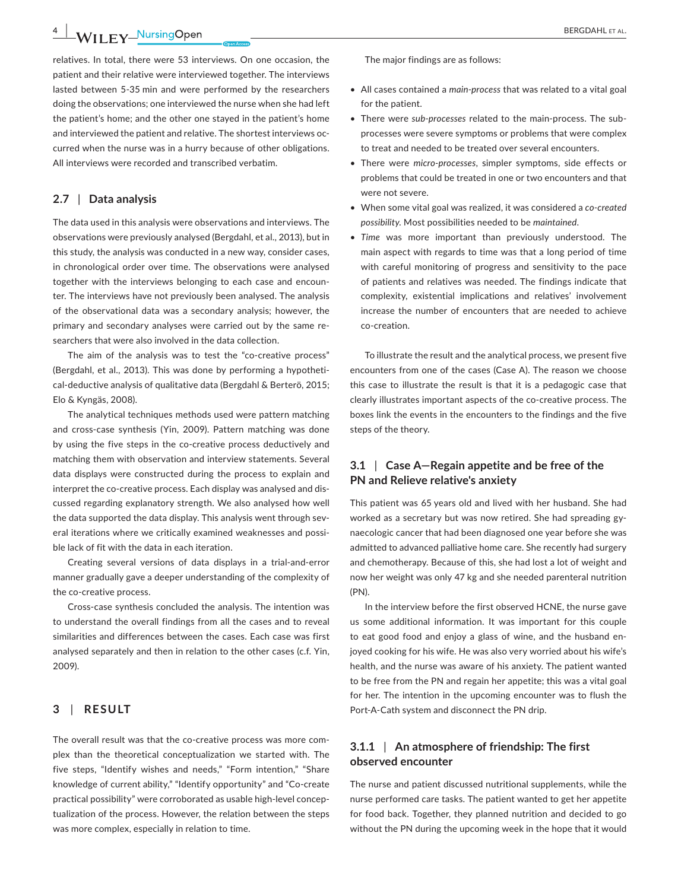**4 |**  BERGDAHL et al.

relatives. In total, there were 53 interviews. On one occasion, the patient and their relative were interviewed together. The interviews lasted between 5‐35 min and were performed by the researchers doing the observations; one interviewed the nurse when she had left the patient's home; and the other one stayed in the patient's home and interviewed the patient and relative. The shortest interviews oc‐ curred when the nurse was in a hurry because of other obligations. All interviews were recorded and transcribed verbatim.

### **2.7** | **Data analysis**

The data used in this analysis were observations and interviews. The observations were previously analysed (Bergdahl, et al., 2013), but in this study, the analysis was conducted in a new way, consider cases, in chronological order over time. The observations were analysed together with the interviews belonging to each case and encoun‐ ter. The interviews have not previously been analysed. The analysis of the observational data was a secondary analysis; however, the primary and secondary analyses were carried out by the same re‐ searchers that were also involved in the data collection.

The aim of the analysis was to test the "co-creative process" (Bergdahl, et al., 2013). This was done by performing a hypotheti‐ cal‐deductive analysis of qualitative data (Bergdahl & Berterö, 2015; Elo & Kyngäs, 2008).

The analytical techniques methods used were pattern matching and cross-case synthesis (Yin, 2009). Pattern matching was done by using the five steps in the co-creative process deductively and matching them with observation and interview statements. Several data displays were constructed during the process to explain and interpret the co-creative process. Each display was analysed and discussed regarding explanatory strength. We also analysed how well the data supported the data display. This analysis went through several iterations where we critically examined weaknesses and possi‐ ble lack of fit with the data in each iteration.

Creating several versions of data displays in a trial‐and‐error manner gradually gave a deeper understanding of the complexity of the co-creative process.

Cross‐case synthesis concluded the analysis. The intention was to understand the overall findings from all the cases and to reveal similarities and differences between the cases. Each case was first analysed separately and then in relation to the other cases (c.f. Yin, 2009).

### **3** | **RESULT**

The overall result was that the co-creative process was more complex than the theoretical conceptualization we started with. The five steps, "Identify wishes and needs," "Form intention," "Share knowledge of current ability," "Identify opportunity" and "Co‐create practical possibility" were corroborated as usable high‐level concep‐ tualization of the process. However, the relation between the steps was more complex, especially in relation to time.

- • All cases contained a *main‐process* that was related to a vital goal for the patient.
- There were *sub‐processes* related to the main‐process. The sub‐ processes were severe symptoms or problems that were complex to treat and needed to be treated over several encounters.
- There were *micro-processes*, simpler symptoms, side effects or problems that could be treated in one or two encounters and that were not severe.
- When some vital goal was realized, it was considered a *co‐created possibility*. Most possibilities needed to be *maintained*.
- *Time* was more important than previously understood. The main aspect with regards to time was that a long period of time with careful monitoring of progress and sensitivity to the pace of patients and relatives was needed. The findings indicate that complexity, existential implications and relatives' involvement increase the number of encounters that are needed to achieve co‐creation.

To illustrate the result and the analytical process, we present five encounters from one of the cases (Case A). The reason we choose this case to illustrate the result is that it is a pedagogic case that clearly illustrates important aspects of the co-creative process. The boxes link the events in the encounters to the findings and the five steps of the theory.

### **3.1** | **Case A—Regain appetite and be free of the PN and Relieve relative's anxiety**

This patient was 65 years old and lived with her husband. She had worked as a secretary but was now retired. She had spreading gy‐ naecologic cancer that had been diagnosed one year before she was admitted to advanced palliative home care. She recently had surgery and chemotherapy. Because of this, she had lost a lot of weight and now her weight was only 47 kg and she needed parenteral nutrition (PN).

In the interview before the first observed HCNE, the nurse gave us some additional information. It was important for this couple to eat good food and enjoy a glass of wine, and the husband en‐ joyed cooking for his wife. He was also very worried about his wife's health, and the nurse was aware of his anxiety. The patient wanted to be free from the PN and regain her appetite; this was a vital goal for her*.* The intention in the upcoming encounter was to flush the Port‐A‐Cath system and disconnect the PN drip.

### **3.1.1** | **An atmosphere of friendship: The first observed encounter**

The nurse and patient discussed nutritional supplements, while the nurse performed care tasks. The patient wanted to get her appetite for food back. Together, they planned nutrition and decided to go without the PN during the upcoming week in the hope that it would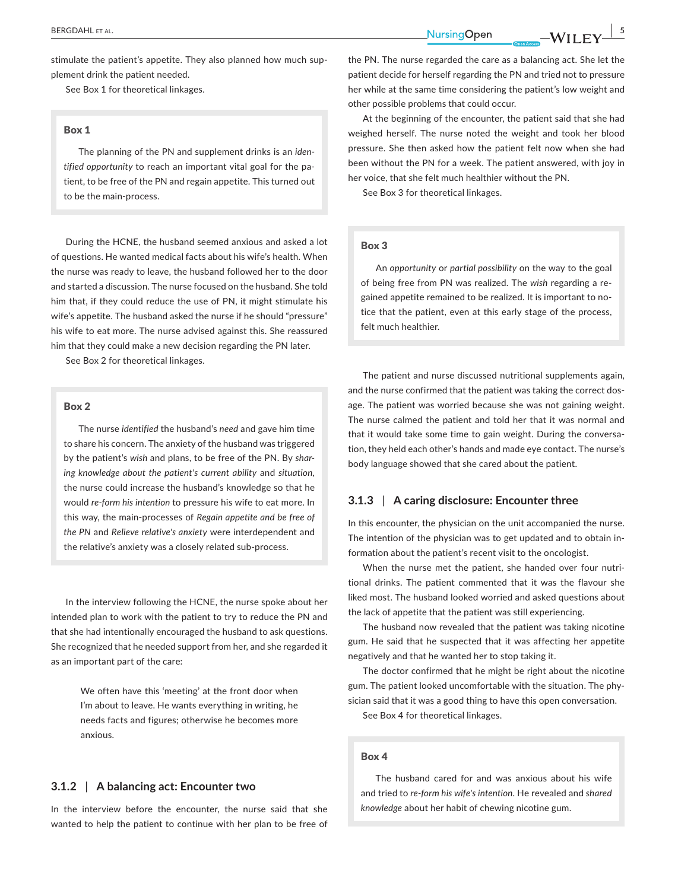**BERGDAHLET AL. 54 CONFERENCE ALL CONFERENCE ASSAULTED ASSAULTED AT A SERGDAHLET ALL CONFERENCE ASSAULTED AT A SERGDAHLET ALL CONFERENCE ASSAULTED AT A SERGDAHLET ALL CONFERENCE ASSAULTED AT A SERGDAHLET ALL CONFERENCE** 

stimulate the patient's appetite. They also planned how much supplement drink the patient needed.

See Box 1 for theoretical linkages.

#### Box 1

The planning of the PN and supplement drinks is an *iden‐ tified opportunity* to reach an important vital goal for the pa‐ tient, to be free of the PN and regain appetite. This turned out to be the main‐process.

During the HCNE, the husband seemed anxious and asked a lot of questions. He wanted medical facts about his wife's health. When the nurse was ready to leave, the husband followed her to the door and started a discussion. The nurse focused on the husband. She told him that, if they could reduce the use of PN, it might stimulate his wife's appetite. The husband asked the nurse if he should "pressure" his wife to eat more. The nurse advised against this. She reassured him that they could make a new decision regarding the PN later.

See Box 2 for theoretical linkages.

#### Box 2

The nurse *identified* the husband's *need* and gave him time to share his concern. The anxiety of the husband was triggered by the patient's *wish* and plans, to be free of the PN. By *shar‐ ing knowledge about the patient's current ability* and *situation,* the nurse could increase the husband's knowledge so that he would *re‐form his intention* to pressure his wife to eat more. In this way, the main‐processes of *Regain appetite and be free of the PN* and *Relieve relative's anxiety* were interdependent and the relative's anxiety was a closely related sub‐process.

In the interview following the HCNE, the nurse spoke about her intended plan to work with the patient to try to reduce the PN and that she had intentionally encouraged the husband to ask questions. She recognized that he needed support from her, and she regarded it as an important part of the care:

> We often have this 'meeting' at the front door when I'm about to leave. He wants everything in writing, he needs facts and figures; otherwise he becomes more anxious.

### **3.1.2** | **A balancing act: Encounter two**

In the interview before the encounter, the nurse said that she wanted to help the patient to continue with her plan to be free of the PN. The nurse regarded the care as a balancing act. She let the patient decide for herself regarding the PN and tried not to pressure her while at the same time considering the patient's low weight and other possible problems that could occur.

At the beginning of the encounter, the patient said that she had weighed herself. The nurse noted the weight and took her blood pressure. She then asked how the patient felt now when she had been without the PN for a week. The patient answered, with joy in her voice, that she felt much healthier without the PN.

See Box 3 for theoretical linkages.

### Box 3

An *opportunity* or *partial possibility* on the way to the goal of being free from PN was realized. The *wish* regarding a re‐ gained appetite remained to be realized. It is important to no‐ tice that the patient, even at this early stage of the process, felt much healthier.

The patient and nurse discussed nutritional supplements again, and the nurse confirmed that the patient was taking the correct dosage. The patient was worried because she was not gaining weight. The nurse calmed the patient and told her that it was normal and that it would take some time to gain weight. During the conversa‐ tion, they held each other's hands and made eye contact. The nurse's body language showed that she cared about the patient.

### **3.1.3** | **A caring disclosure: Encounter three**

In this encounter, the physician on the unit accompanied the nurse. The intention of the physician was to get updated and to obtain in‐ formation about the patient's recent visit to the oncologist.

When the nurse met the patient, she handed over four nutritional drinks. The patient commented that it was the flavour she liked most. The husband looked worried and asked questions about the lack of appetite that the patient was still experiencing.

The husband now revealed that the patient was taking nicotine gum. He said that he suspected that it was affecting her appetite negatively and that he wanted her to stop taking it.

The doctor confirmed that he might be right about the nicotine gum. The patient looked uncomfortable with the situation. The phy‐ sician said that it was a good thing to have this open conversation. See Box 4 for theoretical linkages.

#### Box 4

The husband cared for and was anxious about his wife and tried to *re‐form his wife's intention*. He revealed and *shared knowledge* about her habit of chewing nicotine gum.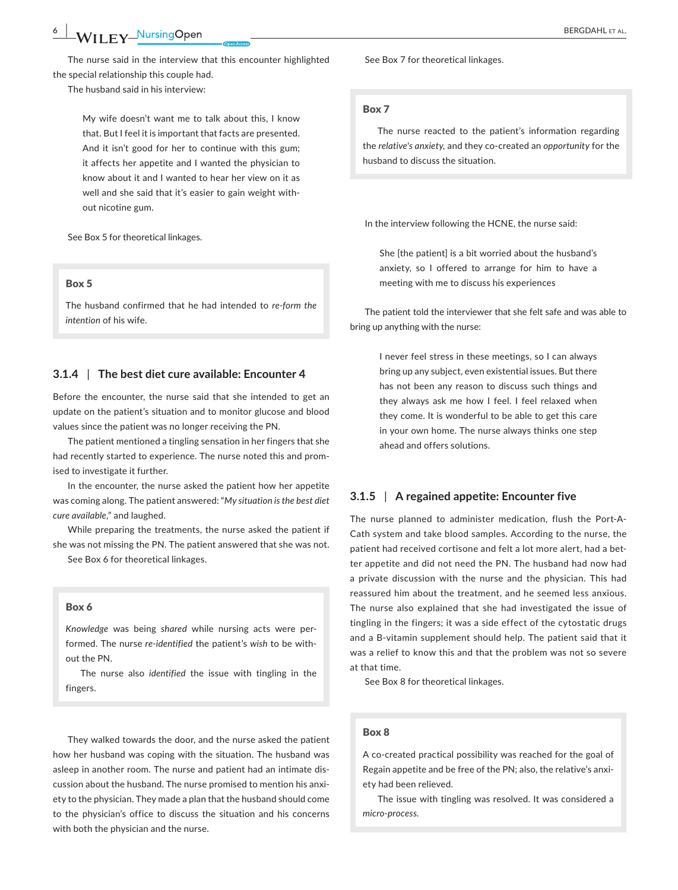The nurse said in the interview that this encounter highlighted the special relationship this couple had.

The husband said in his interview:

My wife doesn't want me to talk about this, I know that. But I feel it is important that facts are presented. And it isn't good for her to continue with this gum; it affects her appetite and I wanted the physician to know about it and I wanted to hear her view on it as well and she said that it's easier to gain weight without nicotine gum.

See Box 5 for theoretical linkages.

#### Box 5

The husband confirmed that he had intended to *re‐form the intention* of his wife.

### **3.1.4** | **The best diet cure available: Encounter 4**

Before the encounter, the nurse said that she intended to get an update on the patient's situation and to monitor glucose and blood values since the patient was no longer receiving the PN.

The patient mentioned a tingling sensation in her fingers that she had recently started to experience. The nurse noted this and promised to investigate it further.

In the encounter, the nurse asked the patient how her appetite was coming along. The patient answered: "*My situation is the best diet cure available*," and laughed.

While preparing the treatments, the nurse asked the patient if she was not missing the PN. The patient answered that she was not.

See Box 6 for theoretical linkages.

#### Box 6

*Knowledge* was being *shared* while nursing acts were per‐ formed. The nurse *re‐identified* the patient's *wish* to be with‐ out the PN.

The nurse also *identified* the issue with tingling in the fingers.

They walked towards the door, and the nurse asked the patient how her husband was coping with the situation. The husband was asleep in another room. The nurse and patient had an intimate dis‐ cussion about the husband. The nurse promised to mention his anxi‐ ety to the physician. They made a plan that the husband should come to the physician's office to discuss the situation and his concerns with both the physician and the nurse.

See Box 7 for theoretical linkages.

#### Box 7

The nurse reacted to the patient's information regarding the *relative's anxiety,* and they co‐created an *opportunity* for the husband to discuss the situation.

In the interview following the HCNE, the nurse said:

She [the patient] is a bit worried about the husband's anxiety, so I offered to arrange for him to have a meeting with me to discuss his experiences

The patient told the interviewer that she felt safe and was able to bring up anything with the nurse:

> I never feel stress in these meetings, so I can always bring up any subject, even existential issues. But there has not been any reason to discuss such things and they always ask me how I feel. I feel relaxed when they come. It is wonderful to be able to get this care in your own home. The nurse always thinks one step ahead and offers solutions.

### **3.1.5** | **A regained appetite: Encounter five**

The nurse planned to administer medication, flush the Port‐A‐ Cath system and take blood samples. According to the nurse, the patient had received cortisone and felt a lot more alert, had a better appetite and did not need the PN. The husband had now had a private discussion with the nurse and the physician. This had reassured him about the treatment, and he seemed less anxious. The nurse also explained that she had investigated the issue of tingling in the fingers; it was a side effect of the cytostatic drugs and a B-vitamin supplement should help. The patient said that it was a relief to know this and that the problem was not so severe at that time.

See Box 8 for theoretical linkages.

#### Box 8

A co-created practical possibility was reached for the goal of Regain appetite and be free of the PN; also, the relative's anxi‐ ety had been relieved.

The issue with tingling was resolved. It was considered a *micro-process.*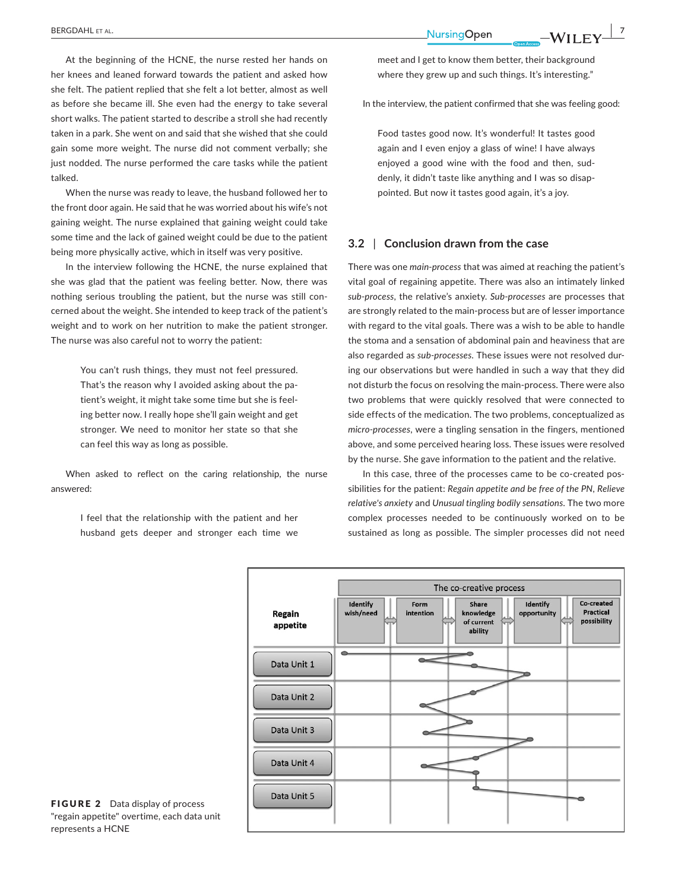At the beginning of the HCNE, the nurse rested her hands on her knees and leaned forward towards the patient and asked how she felt. The patient replied that she felt a lot better, almost as well as before she became ill. She even had the energy to take several short walks. The patient started to describe a stroll she had recently taken in a park. She went on and said that she wished that she could gain some more weight. The nurse did not comment verbally; she just nodded. The nurse performed the care tasks while the patient talked.

When the nurse was ready to leave, the husband followed her to the front door again. He said that he was worried about his wife's not gaining weight. The nurse explained that gaining weight could take some time and the lack of gained weight could be due to the patient being more physically active, which in itself was very positive.

In the interview following the HCNE, the nurse explained that she was glad that the patient was feeling better. Now, there was nothing serious troubling the patient, but the nurse was still con‐ cerned about the weight. She intended to keep track of the patient's weight and to work on her nutrition to make the patient stronger. The nurse was also careful not to worry the patient:

> You can't rush things, they must not feel pressured. That's the reason why I avoided asking about the pa‐ tient's weight, it might take some time but she is feel‐ ing better now. I really hope she'll gain weight and get stronger. We need to monitor her state so that she can feel this way as long as possible.

When asked to reflect on the caring relationship, the nurse answered:

> I feel that the relationship with the patient and her husband gets deeper and stronger each time we

meet and I get to know them better, their background where they grew up and such things. It's interesting."

In the interview, the patient confirmed that she was feeling good:

Food tastes good now. It's wonderful! It tastes good again and I even enjoy a glass of wine! I have always enjoyed a good wine with the food and then, sud‐ denly, it didn't taste like anything and I was so disap‐ pointed. But now it tastes good again, it's a joy.

### **3.2** | **Conclusion drawn from the case**

There was one *main‐process* that was aimed at reaching the patient's vital goal of regaining appetite. There was also an intimately linked *sub‐process*, the relative's anxiety. *Sub‐processes* are processes that are strongly related to the main‐process but are of lesser importance with regard to the vital goals. There was a wish to be able to handle the stoma and a sensation of abdominal pain and heaviness that are also regarded as *sub‐processes*. These issues were not resolved dur‐ ing our observations but were handled in such a way that they did not disturb the focus on resolving the main‐process. There were also two problems that were quickly resolved that were connected to side effects of the medication. The two problems, conceptualized as *micro‐processes*, were a tingling sensation in the fingers, mentioned above, and some perceived hearing loss. These issues were resolved by the nurse. She gave information to the patient and the relative.

In this case, three of the processes came to be co-created possibilities for the patient: *Regain appetite and be free of the PN*, *Relieve relative's anxiety* and *Unusual tingling bodily sensations*. The two more complex processes needed to be continuously worked on to be sustained as long as possible. The simpler processes did not need



FIGURE 2 Data display of process "regain appetite" overtime, each data unit represents a HCNE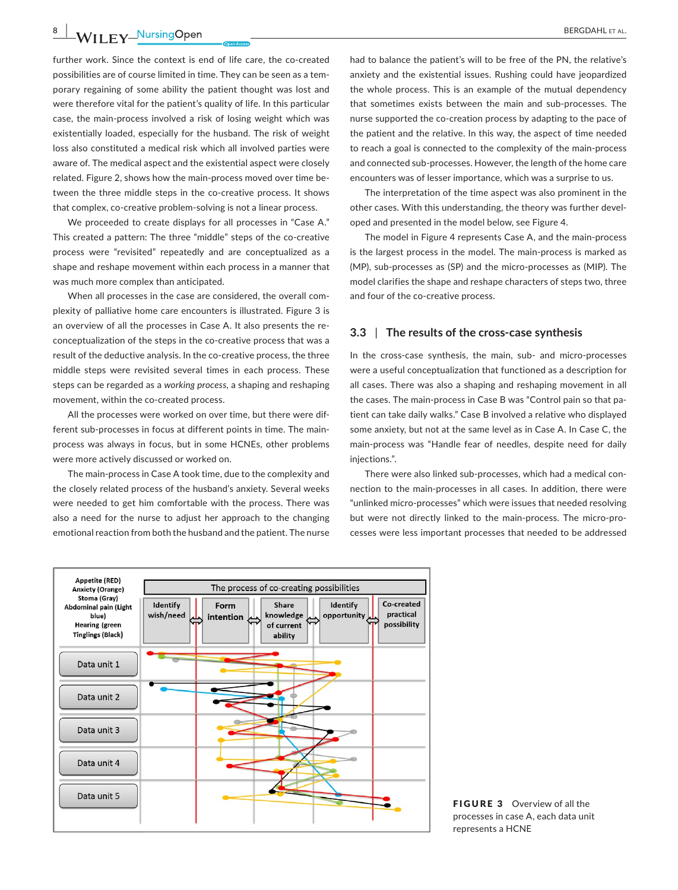## **8 |**  BERGDAHL et al.

further work. Since the context is end of life care, the co-created possibilities are of course limited in time. They can be seen as a tem‐ porary regaining of some ability the patient thought was lost and were therefore vital for the patient's quality of life. In this particular case, the main‐process involved a risk of losing weight which was existentially loaded, especially for the husband. The risk of weight loss also constituted a medical risk which all involved parties were aware of. The medical aspect and the existential aspect were closely related. Figure 2, shows how the main‐process moved over time be‐ tween the three middle steps in the co-creative process. It shows that complex, co‐creative problem‐solving is not a linear process.

We proceeded to create displays for all processes in "Case A." This created a pattern: The three "middle" steps of the co-creative process were "revisited" repeatedly and are conceptualized as a shape and reshape movement within each process in a manner that was much more complex than anticipated.

When all processes in the case are considered, the overall complexity of palliative home care encounters is illustrated. Figure 3 is an overview of all the processes in Case A. It also presents the re‐ conceptualization of the steps in the co-creative process that was a result of the deductive analysis. In the co-creative process, the three middle steps were revisited several times in each process. These steps can be regarded as a *working process*, a shaping and reshaping movement, within the co-created process.

All the processes were worked on over time, but there were dif‐ ferent sub-processes in focus at different points in time. The mainprocess was always in focus, but in some HCNEs, other problems were more actively discussed or worked on.

The main‐process in Case A took time, due to the complexity and the closely related process of the husband's anxiety. Several weeks were needed to get him comfortable with the process. There was also a need for the nurse to adjust her approach to the changing emotional reaction from both the husband and the patient. The nurse

had to balance the patient's will to be free of the PN, the relative's anxiety and the existential issues. Rushing could have jeopardized the whole process. This is an example of the mutual dependency that sometimes exists between the main and sub‐processes. The nurse supported the co-creation process by adapting to the pace of the patient and the relative. In this way, the aspect of time needed to reach a goal is connected to the complexity of the main‐process and connected sub‐processes. However, the length of the home care encounters was of lesser importance, which was a surprise to us.

The interpretation of the time aspect was also prominent in the other cases. With this understanding, the theory was further devel‐ oped and presented in the model below, see Figure 4.

The model in Figure 4 represents Case A, and the main‐process is the largest process in the model. The main‐process is marked as (MP), sub‐processes as (SP) and the micro‐processes as (MIP). The model clarifies the shape and reshape characters of steps two, three and four of the co‐creative process.

#### **3.3** | **The results of the cross‐case synthesis**

In the cross-case synthesis, the main, sub- and micro-processes were a useful conceptualization that functioned as a description for all cases. There was also a shaping and reshaping movement in all the cases. The main‐process in Case B was "Control pain so that pa‐ tient can take daily walks." Case B involved a relative who displayed some anxiety, but not at the same level as in Case A. In Case C, the main‐process was "Handle fear of needles, despite need for daily injections.".

There were also linked sub‐processes, which had a medical con‐ nection to the main‐processes in all cases. In addition, there were "unlinked micro‐processes" which were issues that needed resolving but were not directly linked to the main‐process. The micro‐pro‐ cesses were less important processes that needed to be addressed



FIGURE 3 Overview of all the processes in case A, each data unit represents a HCNE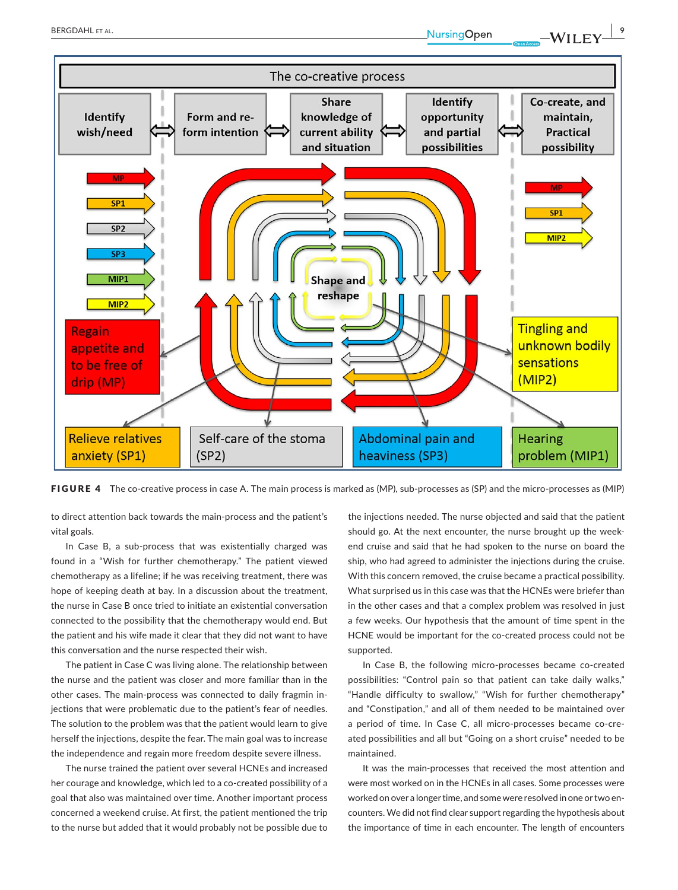



FIGURE 4 The co-creative process in case A. The main process is marked as (MP), sub-processes as (SP) and the micro-processes as (MIP)

to direct attention back towards the main‐process and the patient's vital goals.

In Case B, a sub‐process that was existentially charged was found in a "Wish for further chemotherapy." The patient viewed chemotherapy as a lifeline; if he was receiving treatment, there was hope of keeping death at bay. In a discussion about the treatment, the nurse in Case B once tried to initiate an existential conversation connected to the possibility that the chemotherapy would end. But the patient and his wife made it clear that they did not want to have this conversation and the nurse respected their wish.

The patient in Case C was living alone. The relationship between the nurse and the patient was closer and more familiar than in the other cases. The main‐process was connected to daily fragmin in‐ jections that were problematic due to the patient's fear of needles. The solution to the problem was that the patient would learn to give herself the injections, despite the fear. The main goal was to increase the independence and regain more freedom despite severe illness.

The nurse trained the patient over several HCNEs and increased her courage and knowledge, which led to a co-created possibility of a goal that also was maintained over time. Another important process concerned a weekend cruise. At first, the patient mentioned the trip to the nurse but added that it would probably not be possible due to

the injections needed. The nurse objected and said that the patient should go. At the next encounter, the nurse brought up the week‐ end cruise and said that he had spoken to the nurse on board the ship, who had agreed to administer the injections during the cruise. With this concern removed, the cruise became a practical possibility. What surprised us in this case was that the HCNEs were briefer than in the other cases and that a complex problem was resolved in just a few weeks. Our hypothesis that the amount of time spent in the HCNE would be important for the co-created process could not be supported.

In Case B, the following micro-processes became co-created possibilities: "Control pain so that patient can take daily walks," "Handle difficulty to swallow," "Wish for further chemotherapy" and "Constipation," and all of them needed to be maintained over a period of time. In Case C, all micro‐processes became co‐cre‐ ated possibilities and all but "Going on a short cruise" needed to be maintained.

It was the main‐processes that received the most attention and were most worked on in the HCNEs in all cases. Some processes were worked on over a longer time, and some were resolved in one or two en‐ counters. We did not find clear support regarding the hypothesis about the importance of time in each encounter. The length of encounters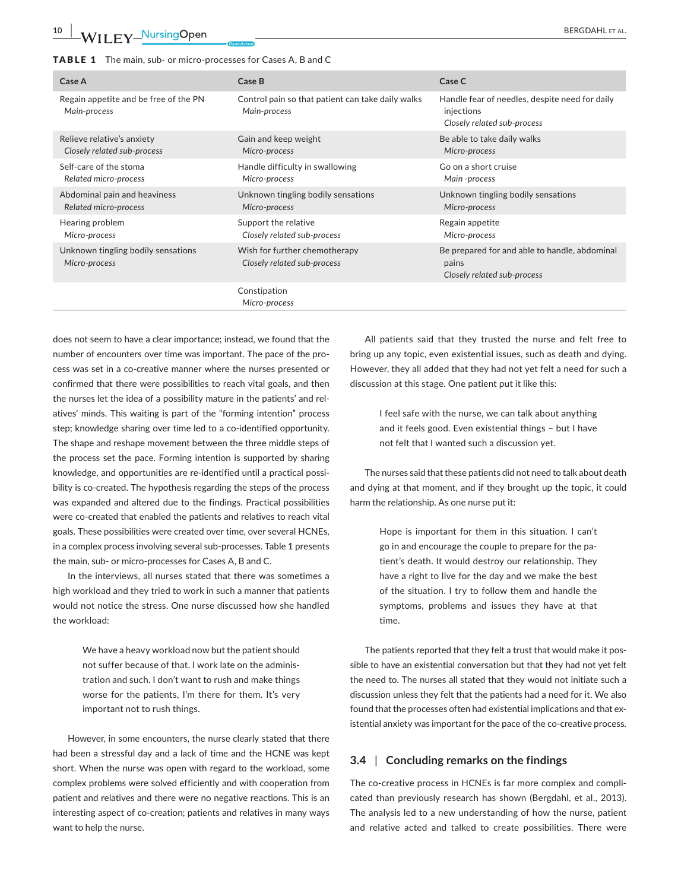#### TABLE 1 The main, sub‐ or micro‐processes for Cases A, B and C

| Case A                                                | Case B                                                            | Case C                                                                                      |
|-------------------------------------------------------|-------------------------------------------------------------------|---------------------------------------------------------------------------------------------|
| Regain appetite and be free of the PN<br>Main-process | Control pain so that patient can take daily walks<br>Main-process | Handle fear of needles, despite need for daily<br>injections<br>Closely related sub-process |
| Relieve relative's anxiety                            | Gain and keep weight                                              | Be able to take daily walks                                                                 |
| Closely related sub-process                           | Micro-process                                                     | Micro-process                                                                               |
| Self-care of the stoma                                | Handle difficulty in swallowing                                   | Go on a short cruise                                                                        |
| Related micro-process                                 | Micro-process                                                     | Main -process                                                                               |
| Abdominal pain and heaviness                          | Unknown tingling bodily sensations                                | Unknown tingling bodily sensations                                                          |
| Related micro-process                                 | Micro-process                                                     | Micro-process                                                                               |
| Hearing problem                                       | Support the relative                                              | Regain appetite                                                                             |
| Micro-process                                         | Closely related sub-process                                       | Micro-process                                                                               |
| Unknown tingling bodily sensations<br>Micro-process   | Wish for further chemotherapy<br>Closely related sub-process      | Be prepared for and able to handle, abdominal<br>pains<br>Closely related sub-process       |
|                                                       | Constipation<br>Micro-process                                     |                                                                                             |

does not seem to have a clear importance; instead, we found that the number of encounters over time was important. The pace of the pro‐ cess was set in a co‐creative manner where the nurses presented or confirmed that there were possibilities to reach vital goals, and then the nurses let the idea of a possibility mature in the patients' and rel‐ atives' minds. This waiting is part of the "forming intention" process step; knowledge sharing over time led to a co-identified opportunity. The shape and reshape movement between the three middle steps of the process set the pace. Forming intention is supported by sharing knowledge, and opportunities are re‐identified until a practical possi‐ bility is co-created. The hypothesis regarding the steps of the process was expanded and altered due to the findings. Practical possibilities were co-created that enabled the patients and relatives to reach vital goals. These possibilities were created over time, over several HCNEs, in a complex process involving several sub-processes. Table 1 presents the main, sub‐ or micro‐processes for Cases A, B and C.

In the interviews, all nurses stated that there was sometimes a high workload and they tried to work in such a manner that patients would not notice the stress. One nurse discussed how she handled the workload:

> We have a heavy workload now but the patient should not suffer because of that. I work late on the adminis‐ tration and such. I don't want to rush and make things worse for the patients, I'm there for them. It's very important not to rush things.

However, in some encounters, the nurse clearly stated that there had been a stressful day and a lack of time and the HCNE was kept short. When the nurse was open with regard to the workload, some complex problems were solved efficiently and with cooperation from patient and relatives and there were no negative reactions. This is an interesting aspect of co-creation; patients and relatives in many ways want to help the nurse.

All patients said that they trusted the nurse and felt free to bring up any topic, even existential issues, such as death and dying. However, they all added that they had not yet felt a need for such a discussion at this stage. One patient put it like this:

> I feel safe with the nurse, we can talk about anything and it feels good. Even existential things – but I have not felt that I wanted such a discussion yet.

The nurses said that these patients did not need to talk about death and dying at that moment, and if they brought up the topic, it could harm the relationship. As one nurse put it:

> Hope is important for them in this situation. I can't go in and encourage the couple to prepare for the pa‐ tient's death. It would destroy our relationship. They have a right to live for the day and we make the best of the situation. I try to follow them and handle the symptoms, problems and issues they have at that time.

The patients reported that they felt a trust that would make it possible to have an existential conversation but that they had not yet felt the need to. The nurses all stated that they would not initiate such a discussion unless they felt that the patients had a need for it. We also found that the processes often had existential implications and that ex‐ istential anxiety was important for the pace of the co-creative process.

### **3.4** | **Concluding remarks on the findings**

The co-creative process in HCNEs is far more complex and complicated than previously research has shown (Bergdahl, et al., 2013). The analysis led to a new understanding of how the nurse, patient and relative acted and talked to create possibilities. There were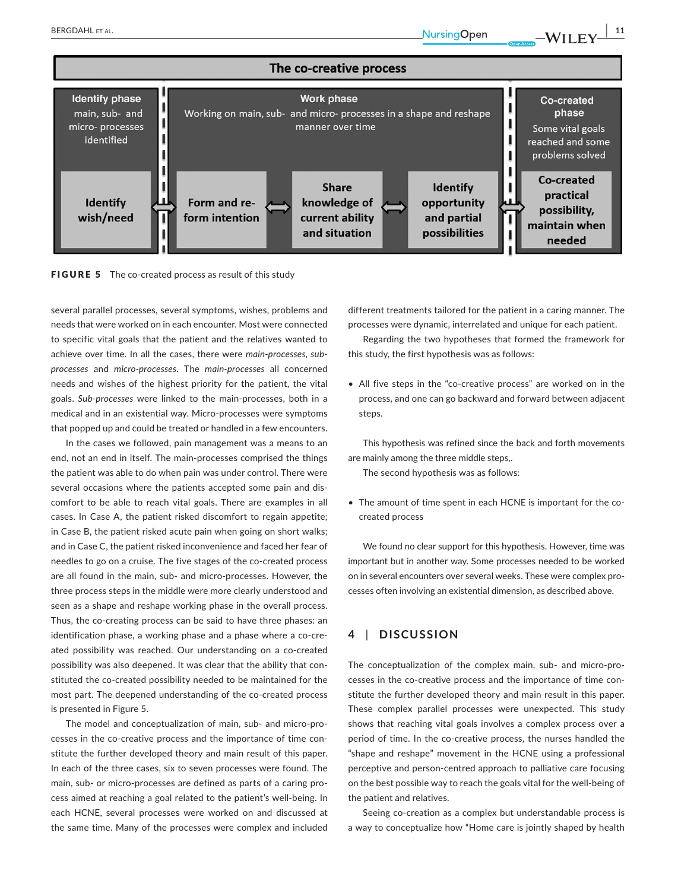



several parallel processes, several symptoms, wishes, problems and needs that were worked on in each encounter. Most were connected to specific vital goals that the patient and the relatives wanted to achieve over time. In all the cases, there were *main‐processes*, *sub‐ processes* and *micro‐processes*. The *main‐processes* all concerned needs and wishes of the highest priority for the patient, the vital goals. *Sub‐processes* were linked to the main‐processes, both in a medical and in an existential way. Micro‐processes were symptoms that popped up and could be treated or handled in a few encounters.

In the cases we followed, pain management was a means to an end, not an end in itself. The main‐processes comprised the things the patient was able to do when pain was under control. There were several occasions where the patients accepted some pain and dis‐ comfort to be able to reach vital goals. There are examples in all cases. In Case A, the patient risked discomfort to regain appetite; in Case B, the patient risked acute pain when going on short walks; and in Case C, the patient risked inconvenience and faced her fear of needles to go on a cruise. The five stages of the co‐created process are all found in the main, sub‐ and micro‐processes. However, the three process steps in the middle were more clearly understood and seen as a shape and reshape working phase in the overall process. Thus, the co-creating process can be said to have three phases: an identification phase, a working phase and a phase where a co-created possibility was reached. Our understanding on a co-created possibility was also deepened. It was clear that the ability that constituted the co-created possibility needed to be maintained for the most part. The deepened understanding of the co-created process is presented in Figure 5.

The model and conceptualization of main, sub‐ and micro‐pro‐ cesses in the co-creative process and the importance of time constitute the further developed theory and main result of this paper. In each of the three cases, six to seven processes were found. The main, sub- or micro-processes are defined as parts of a caring process aimed at reaching a goal related to the patient's well‐being. In each HCNE, several processes were worked on and discussed at the same time. Many of the processes were complex and included

different treatments tailored for the patient in a caring manner. The processes were dynamic, interrelated and unique for each patient.

Regarding the two hypotheses that formed the framework for this study, the first hypothesis was as follows:

• All five steps in the "co-creative process" are worked on in the process, and one can go backward and forward between adjacent steps.

This hypothesis was refined since the back and forth movements are mainly among the three middle steps,.

The second hypothesis was as follows:

• The amount of time spent in each HCNE is important for the co‐ created process

We found no clear support for this hypothesis. However, time was important but in another way. Some processes needed to be worked on in several encounters over several weeks. These were complex pro‐ cesses often involving an existential dimension, as described above.

### **4** | **DISCUSSION**

The conceptualization of the complex main, sub- and micro-processes in the co-creative process and the importance of time constitute the further developed theory and main result in this paper. These complex parallel processes were unexpected. This study shows that reaching vital goals involves a complex process over a period of time. In the co-creative process, the nurses handled the "shape and reshape" movement in the HCNE using a professional perceptive and person‐centred approach to palliative care focusing on the best possible way to reach the goals vital for the well‐being of the patient and relatives.

Seeing co-creation as a complex but understandable process is a way to conceptualize how "Home care is jointly shaped by health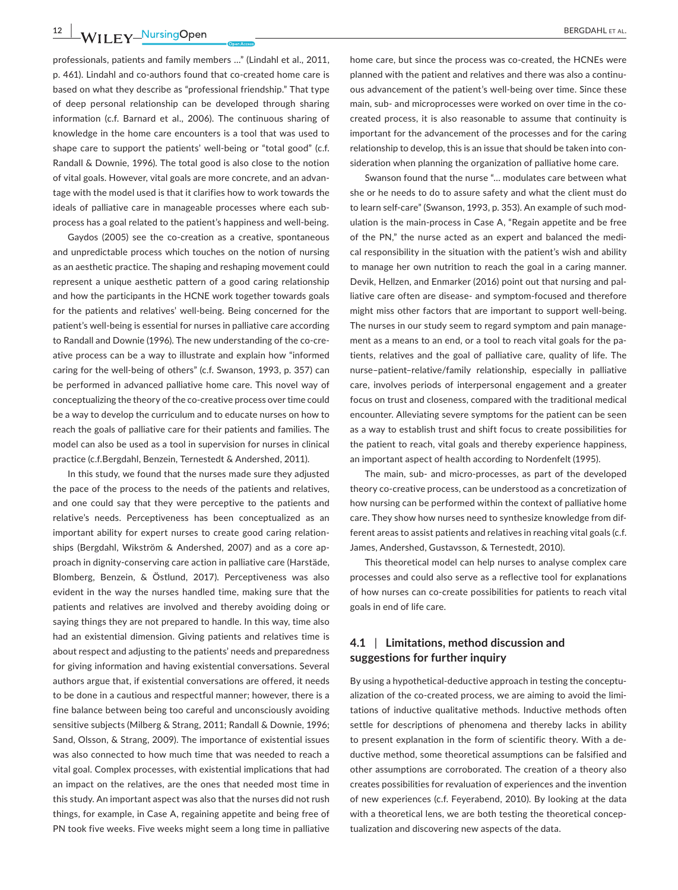**12** WII FY NursingOpen **CONSERVISION** BERGDAHL ET AL.

professionals, patients and family members …" (Lindahl et al., 2011, p. 461). Lindahl and co-authors found that co-created home care is based on what they describe as "professional friendship." That type of deep personal relationship can be developed through sharing information (c.f. Barnard et al., 2006). The continuous sharing of knowledge in the home care encounters is a tool that was used to shape care to support the patients' well-being or "total good" (c.f. Randall & Downie, 1996). The total good is also close to the notion of vital goals. However, vital goals are more concrete, and an advan‐ tage with the model used is that it clarifies how to work towards the ideals of palliative care in manageable processes where each sub‐ process has a goal related to the patient's happiness and well‐being.

Gaydos (2005) see the co‐creation as a creative, spontaneous and unpredictable process which touches on the notion of nursing as an aesthetic practice. The shaping and reshaping movement could represent a unique aesthetic pattern of a good caring relationship and how the participants in the HCNE work together towards goals for the patients and relatives' well‐being. Being concerned for the patient's well-being is essential for nurses in palliative care according to Randall and Downie (1996). The new understanding of the co-creative process can be a way to illustrate and explain how "informed caring for the well-being of others" (c.f. Swanson, 1993, p. 357) can be performed in advanced palliative home care. This novel way of conceptualizing the theory of the co-creative process over time could be a way to develop the curriculum and to educate nurses on how to reach the goals of palliative care for their patients and families. The model can also be used as a tool in supervision for nurses in clinical practice (c.f.Bergdahl, Benzein, Ternestedt & Andershed, 2011).

In this study, we found that the nurses made sure they adjusted the pace of the process to the needs of the patients and relatives, and one could say that they were perceptive to the patients and relative's needs. Perceptiveness has been conceptualized as an important ability for expert nurses to create good caring relation‐ ships (Bergdahl, Wikström & Andershed, 2007) and as a core ap‐ proach in dignity‐conserving care action in palliative care (Harstäde, Blomberg, Benzein, & Östlund, 2017). Perceptiveness was also evident in the way the nurses handled time, making sure that the patients and relatives are involved and thereby avoiding doing or saying things they are not prepared to handle. In this way, time also had an existential dimension. Giving patients and relatives time is about respect and adjusting to the patients' needs and preparedness for giving information and having existential conversations. Several authors argue that, if existential conversations are offered, it needs to be done in a cautious and respectful manner; however, there is a fine balance between being too careful and unconsciously avoiding sensitive subjects (Milberg & Strang, 2011; Randall & Downie, 1996; Sand, Olsson, & Strang, 2009). The importance of existential issues was also connected to how much time that was needed to reach a vital goal. Complex processes, with existential implications that had an impact on the relatives, are the ones that needed most time in this study. An important aspect was also that the nurses did not rush things, for example, in Case A, regaining appetite and being free of PN took five weeks. Five weeks might seem a long time in palliative

home care, but since the process was co-created, the HCNEs were planned with the patient and relatives and there was also a continu‐ ous advancement of the patient's well‐being over time. Since these main, sub- and microprocesses were worked on over time in the cocreated process, it is also reasonable to assume that continuity is important for the advancement of the processes and for the caring relationship to develop, this is an issue that should be taken into con‐ sideration when planning the organization of palliative home care.

Swanson found that the nurse "… modulates care between what she or he needs to do to assure safety and what the client must do to learn self-care" (Swanson, 1993, p. 353). An example of such modulation is the main‐process in Case A, "Regain appetite and be free of the PN," the nurse acted as an expert and balanced the medi‐ cal responsibility in the situation with the patient's wish and ability to manage her own nutrition to reach the goal in a caring manner. Devik, Hellzen, and Enmarker (2016) point out that nursing and pal‐ liative care often are disease‐ and symptom‐focused and therefore might miss other factors that are important to support well‐being. The nurses in our study seem to regard symptom and pain manage‐ ment as a means to an end, or a tool to reach vital goals for the patients, relatives and the goal of palliative care, quality of life. The nurse–patient–relative/family relationship, especially in palliative care, involves periods of interpersonal engagement and a greater focus on trust and closeness, compared with the traditional medical encounter. Alleviating severe symptoms for the patient can be seen as a way to establish trust and shift focus to create possibilities for the patient to reach, vital goals and thereby experience happiness, an important aspect of health according to Nordenfelt (1995).

The main, sub‐ and micro‐processes, as part of the developed theory co‐creative process, can be understood as a concretization of how nursing can be performed within the context of palliative home care. They show how nurses need to synthesize knowledge from dif‐ ferent areas to assist patients and relatives in reaching vital goals (c.f. James, Andershed, Gustavsson, & Ternestedt, 2010).

This theoretical model can help nurses to analyse complex care processes and could also serve as a reflective tool for explanations of how nurses can co‐create possibilities for patients to reach vital goals in end of life care.

### **4.1** | **Limitations, method discussion and suggestions for further inquiry**

By using a hypothetical-deductive approach in testing the conceptualization of the co-created process, we are aiming to avoid the limitations of inductive qualitative methods. Inductive methods often settle for descriptions of phenomena and thereby lacks in ability to present explanation in the form of scientific theory. With a de‐ ductive method, some theoretical assumptions can be falsified and other assumptions are corroborated. The creation of a theory also creates possibilities for revaluation of experiences and the invention of new experiences (c.f. Feyerabend, 2010). By looking at the data with a theoretical lens, we are both testing the theoretical concep‐ tualization and discovering new aspects of the data.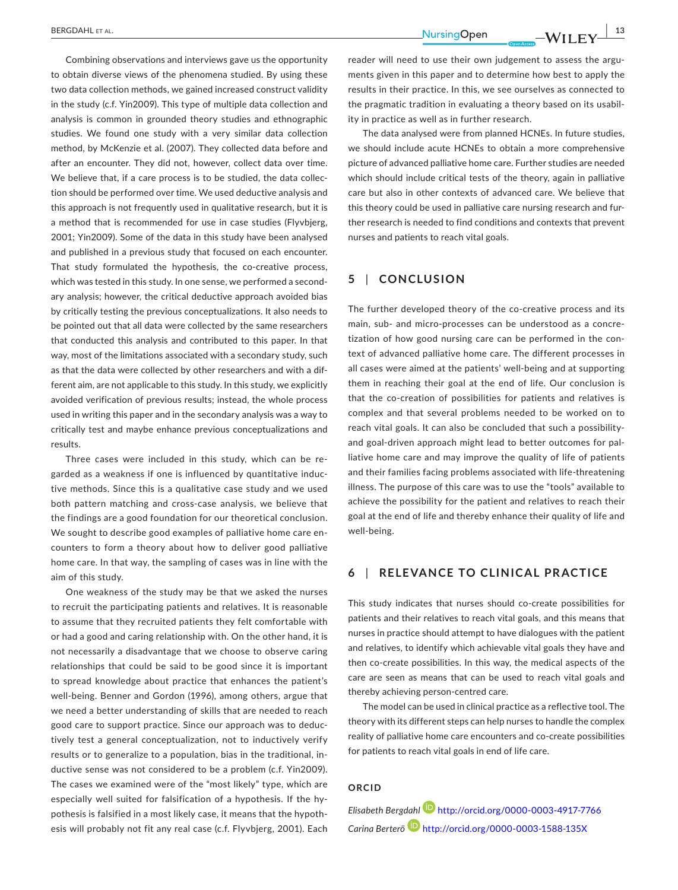Combining observations and interviews gave us the opportunity to obtain diverse views of the phenomena studied. By using these two data collection methods, we gained increased construct validity in the study (c.f. Yin2009). This type of multiple data collection and analysis is common in grounded theory studies and ethnographic studies. We found one study with a very similar data collection method, by McKenzie et al. (2007). They collected data before and after an encounter. They did not, however, collect data over time. We believe that, if a care process is to be studied, the data collection should be performed over time. We used deductive analysis and this approach is not frequently used in qualitative research, but it is a method that is recommended for use in case studies (Flyvbjerg, 2001; Yin2009). Some of the data in this study have been analysed and published in a previous study that focused on each encounter. That study formulated the hypothesis, the co-creative process, which was tested in this study. In one sense, we performed a secondary analysis; however, the critical deductive approach avoided bias by critically testing the previous conceptualizations. It also needs to be pointed out that all data were collected by the same researchers that conducted this analysis and contributed to this paper. In that way, most of the limitations associated with a secondary study, such as that the data were collected by other researchers and with a dif‐ ferent aim, are not applicable to this study. In this study, we explicitly avoided verification of previous results; instead, the whole process used in writing this paper and in the secondary analysis was a way to critically test and maybe enhance previous conceptualizations and results.

Three cases were included in this study, which can be re‐ garded as a weakness if one is influenced by quantitative induc‐ tive methods. Since this is a qualitative case study and we used both pattern matching and cross-case analysis, we believe that the findings are a good foundation for our theoretical conclusion. We sought to describe good examples of palliative home care encounters to form a theory about how to deliver good palliative home care. In that way, the sampling of cases was in line with the aim of this study.

One weakness of the study may be that we asked the nurses to recruit the participating patients and relatives. It is reasonable to assume that they recruited patients they felt comfortable with or had a good and caring relationship with. On the other hand, it is not necessarily a disadvantage that we choose to observe caring relationships that could be said to be good since it is important to spread knowledge about practice that enhances the patient's well-being. Benner and Gordon (1996), among others, argue that we need a better understanding of skills that are needed to reach good care to support practice. Since our approach was to deduc‐ tively test a general conceptualization, not to inductively verify results or to generalize to a population, bias in the traditional, in‐ ductive sense was not considered to be a problem (c.f. Yin2009). The cases we examined were of the "most likely" type, which are especially well suited for falsification of a hypothesis. If the hy‐ pothesis is falsified in a most likely case, it means that the hypoth‐ esis will probably not fit any real case (c.f. Flyvbjerg, 2001). Each

reader will need to use their own judgement to assess the arguments given in this paper and to determine how best to apply the results in their practice. In this, we see ourselves as connected to the pragmatic tradition in evaluating a theory based on its usabil‐ ity in practice as well as in further research.

The data analysed were from planned HCNEs. In future studies, we should include acute HCNEs to obtain a more comprehensive picture of advanced palliative home care. Further studies are needed which should include critical tests of the theory, again in palliative care but also in other contexts of advanced care. We believe that this theory could be used in palliative care nursing research and fur‐ ther research is needed to find conditions and contexts that prevent nurses and patients to reach vital goals.

### **5** | **CONCLUSION**

The further developed theory of the co-creative process and its main, sub- and micro-processes can be understood as a concretization of how good nursing care can be performed in the con‐ text of advanced palliative home care. The different processes in all cases were aimed at the patients' well‐being and at supporting them in reaching their goal at the end of life. Our conclusion is that the co-creation of possibilities for patients and relatives is complex and that several problems needed to be worked on to reach vital goals. It can also be concluded that such a possibility‐ and goal-driven approach might lead to better outcomes for palliative home care and may improve the quality of life of patients and their families facing problems associated with life‐threatening illness. The purpose of this care was to use the "tools" available to achieve the possibility for the patient and relatives to reach their goal at the end of life and thereby enhance their quality of life and well‐being.

### **6** | **RELEVANCE TO CLINICAL PRACTICE**

This study indicates that nurses should co-create possibilities for patients and their relatives to reach vital goals, and this means that nurses in practice should attempt to have dialogues with the patient and relatives, to identify which achievable vital goals they have and then co-create possibilities. In this way, the medical aspects of the care are seen as means that can be used to reach vital goals and thereby achieving person‐centred care.

The model can be used in clinical practice as a reflective tool. The theory with its different steps can help nurses to handle the complex reality of palliative home care encounters and co-create possibilities for patients to reach vital goals in end of life care.

#### **ORCID**

*Elisabeth Bergdahl* <http://orcid.org/0000-0003-4917-7766> *Carina Berterö* <http://orcid.org/0000-0003-1588-135X>